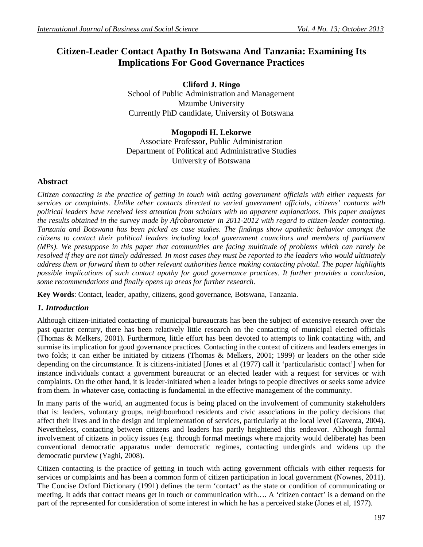# **Citizen-Leader Contact Apathy In Botswana And Tanzania: Examining Its Implications For Good Governance Practices**

**Cliford J. Ringo**  School of Public Administration and Management Mzumbe University Currently PhD candidate, University of Botswana

#### **Mogopodi H. Lekorwe**

Associate Professor, Public Administration Department of Political and Administrative Studies University of Botswana

#### **Abstract**

*Citizen contacting is the practice of getting in touch with acting government officials with either requests for services or complaints. Unlike other contacts directed to varied government officials, citizens' contacts with political leaders have received less attention from scholars with no apparent explanations. This paper analyzes the results obtained in the survey made by Afrobarometer in 2011-2012 with regard to citizen-leader contacting. Tanzania and Botswana has been picked as case studies. The findings show apathetic behavior amongst the citizens to contact their political leaders including local government councilors and members of parliament (MPs). We presuppose in this paper that communities are facing multitude of problems which can rarely be resolved if they are not timely addressed. In most cases they must be reported to the leaders who would ultimately address them or forward them to other relevant authorities hence making contacting pivotal. The paper highlights possible implications of such contact apathy for good governance practices. It further provides a conclusion, some recommendations and finally opens up areas for further research.*

**Key Words**: Contact, leader, apathy, citizens, good governance, Botswana, Tanzania.

# *1. Introduction*

Although citizen-initiated contacting of municipal bureaucrats has been the subject of extensive research over the past quarter century, there has been relatively little research on the contacting of municipal elected officials (Thomas & Melkers, 2001). Furthermore, little effort has been devoted to attempts to link contacting with, and surmise its implication for good governance practices. Contacting in the context of citizens and leaders emerges in two folds; it can either be initiated by citizens (Thomas & Melkers, 2001; 1999) or leaders on the other side depending on the circumstance. It is citizens-initiated [Jones et al (1977) call it 'particularistic contact'] when for instance individuals contact a government bureaucrat or an elected leader with a request for services or with complaints. On the other hand, it is leader-initiated when a leader brings to people directives or seeks some advice from them. In whatever case, contacting is fundamental in the effective management of the community.

In many parts of the world, an augmented focus is being placed on the involvement of community stakeholders that is: leaders, voluntary groups, neighbourhood residents and civic associations in the policy decisions that affect their lives and in the design and implementation of services, particularly at the local level (Gaventa, 2004). Nevertheless, contacting between citizens and leaders has partly heightened this endeavor. Although formal involvement of citizens in policy issues (e.g. through formal meetings where majority would deliberate) has been conventional democratic apparatus under democratic regimes, contacting undergirds and widens up the democratic purview (Yaghi, 2008).

Citizen contacting is the practice of getting in touch with acting government officials with either requests for services or complaints and has been a common form of citizen participation in local government (Nownes, 2011). The Concise Oxford Dictionary (1991) defines the term 'contact' as the state or condition of communicating or meeting. It adds that contact means get in touch or communication with…. A 'citizen contact' is a demand on the part of the represented for consideration of some interest in which he has a perceived stake (Jones et al, 1977).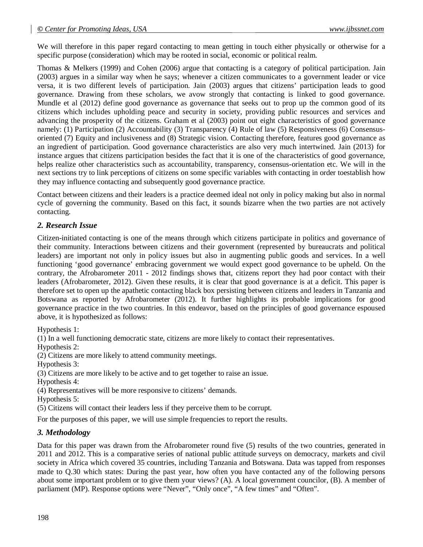We will therefore in this paper regard contacting to mean getting in touch either physically or otherwise for a specific purpose (consideration) which may be rooted in social, economic or political realm.

Thomas & Melkers (1999) and Cohen (2006) argue that contacting is a category of political participation. Jain (2003) argues in a similar way when he says; whenever a citizen communicates to a government leader or vice versa, it is two different levels of participation. Jain (2003) argues that citizens' participation leads to good governance. Drawing from these scholars, we avow strongly that contacting is linked to good governance. Mundle et al (2012) define good governance as governance that seeks out to prop up the common good of its citizens which includes upholding peace and security in society, providing public resources and services and advancing the prosperity of the citizens. Graham et al (2003) point out eight characteristics of good governance namely: (1) Participation (2) Accountability (3) Transparency (4) Rule of law (5) Responsiveness (6) Consensusoriented (7) Equity and inclusiveness and (8) Strategic vision. Contacting therefore, features good governance as an ingredient of participation. Good governance characteristics are also very much intertwined. Jain (2013) for instance argues that citizens participation besides the fact that it is one of the characteristics of good governance, helps realize other characteristics such as accountability, transparency, consensus-orientation etc. We will in the next sections try to link perceptions of citizens on some specific variables with contacting in order toestablish how they may influence contacting and subsequently good governance practice.

Contact between citizens and their leaders is a practice deemed ideal not only in policy making but also in normal cycle of governing the community. Based on this fact, it sounds bizarre when the two parties are not actively contacting.

# *2. Research Issue*

Citizen-initiated contacting is one of the means through which citizens participate in politics and governance of their community. Interactions between citizens and their government (represented by bureaucrats and political leaders) are important not only in policy issues but also in augmenting public goods and services. In a well functioning 'good governance' embracing government we would expect good governance to be upheld. On the contrary, the Afrobarometer 2011 - 2012 findings shows that, citizens report they had poor contact with their leaders (Afrobarometer, 2012). Given these results, it is clear that good governance is at a deficit. This paper is therefore set to open up the apathetic contacting black box persisting between citizens and leaders in Tanzania and Botswana as reported by Afrobarometer (2012). It further highlights its probable implications for good governance practice in the two countries. In this endeavor, based on the principles of good governance espoused above, it is hypothesized as follows:

Hypothesis 1:

(1) In a well functioning democratic state, citizens are more likely to contact their representatives.

Hypothesis 2:

(2) Citizens are more likely to attend community meetings.

Hypothesis 3:

(3) Citizens are more likely to be active and to get together to raise an issue.

Hypothesis 4:

(4) Representatives will be more responsive to citizens' demands.

Hypothesis 5:

(5) Citizens will contact their leaders less if they perceive them to be corrupt.

For the purposes of this paper, we will use simple frequencies to report the results.

#### *3. Methodology*

Data for this paper was drawn from the Afrobarometer round five (5) results of the two countries, generated in 2011 and 2012. This is a comparative series of national public attitude surveys on democracy, markets and civil society in Africa which covered 35 countries, including Tanzania and Botswana. Data was tapped from responses made to Q.30 which states: During the past year, how often you have contacted any of the following persons about some important problem or to give them your views? (A). A local government councilor, (B). A member of parliament (MP). Response options were "Never", "Only once", "A few times" and "Often".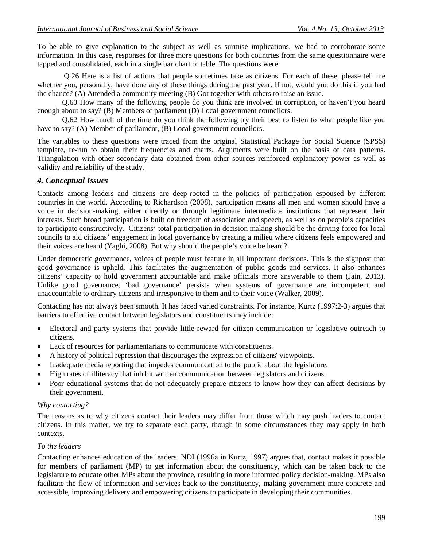To be able to give explanation to the subject as well as surmise implications, we had to corroborate some information. In this case, responses for three more questions for both countries from the same questionnaire were tapped and consolidated, each in a single bar chart or table. The questions were:

Q.26 Here is a list of actions that people sometimes take as citizens. For each of these, please tell me whether you, personally, have done any of these things during the past year. If not, would you do this if you had the chance? (A) Attended a community meeting (B) Got together with others to raise an issue.

Q.60 How many of the following people do you think are involved in corruption, or haven't you heard enough about to say? (B) Members of parliament (D) Local government councilors.

Q.62 How much of the time do you think the following try their best to listen to what people like you have to say? (A) Member of parliament, (B) Local government councilors.

The variables to these questions were traced from the original Statistical Package for Social Science (SPSS) template, re-run to obtain their frequencies and charts. Arguments were built on the basis of data patterns. Triangulation with other secondary data obtained from other sources reinforced explanatory power as well as validity and reliability of the study.

#### *4. Conceptual Issues*

Contacts among leaders and citizens are deep-rooted in the policies of participation espoused by different countries in the world. According to Richardson (2008), participation means all men and women should have a voice in decision-making, either directly or through legitimate intermediate institutions that represent their interests. Such broad participation is built on freedom of association and speech, as well as on people's capacities to participate constructively. Citizens' total participation in decision making should be the driving force for local councils to aid citizens' engagement in local governance by creating a milieu where citizens feels empowered and their voices are heard (Yaghi, 2008). But why should the people's voice be heard?

Under democratic governance, voices of people must feature in all important decisions. This is the signpost that good governance is upheld. This facilitates the augmentation of public goods and services. It also enhances citizens' capacity to hold government accountable and make officials more answerable to them (Jain, 2013). Unlike good governance, 'bad governance' persists when systems of governance are incompetent and unaccountable to ordinary citizens and irresponsive to them and to their voice (Walker, 2009).

Contacting has not always been smooth. It has faced varied constraints. For instance, Kurtz (1997:2-3) argues that barriers to effective contact between legislators and constituents may include:

- Electoral and party systems that provide little reward for citizen communication or legislative outreach to citizens.
- Lack of resources for parliamentarians to communicate with constituents.
- A history of political repression that discourages the expression of citizens' viewpoints.
- Inadequate media reporting that impedes communication to the public about the legislature.
- High rates of illiteracy that inhibit written communication between legislators and citizens.
- Poor educational systems that do not adequately prepare citizens to know how they can affect decisions by their government.

#### *Why contacting?*

The reasons as to why citizens contact their leaders may differ from those which may push leaders to contact citizens. In this matter, we try to separate each party, though in some circumstances they may apply in both contexts.

#### *To the leaders*

Contacting enhances education of the leaders. NDI (1996a in Kurtz, 1997) argues that, contact makes it possible for members of parliament (MP) to get information about the constituency, which can be taken back to the legislature to educate other MPs about the province, resulting in more informed policy decision-making. MPs also facilitate the flow of information and services back to the constituency, making government more concrete and accessible, improving delivery and empowering citizens to participate in developing their communities.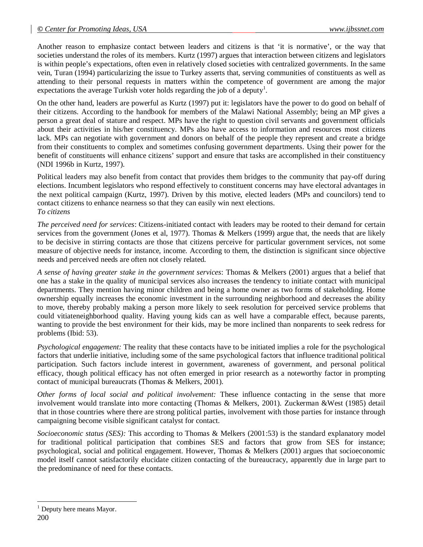Another reason to emphasize contact between leaders and citizens is that 'it is normative', or the way that societies understand the roles of its members. Kurtz (1997) argues that interaction between citizens and legislators is within people's expectations, often even in relatively closed societies with centralized governments. In the same vein, Turan (1994) particularizing the issue to Turkey asserts that, serving communities of constituents as well as attending to their personal requests in matters within the competence of government are among the major expectations the average Turkish voter holds regarding the job of a deputy<sup>1</sup>.

On the other hand, leaders are powerful as Kurtz (1997) put it: legislators have the power to do good on behalf of their citizens. According to the handbook for members of the Malawi National Assembly; being an MP gives a person a great deal of stature and respect. MPs have the right to question civil servants and government officials about their activities in his/her constituency. MPs also have access to information and resources most citizens lack. MPs can negotiate with government and donors on behalf of the people they represent and create a bridge from their constituents to complex and sometimes confusing government departments. Using their power for the benefit of constituents will enhance citizens' support and ensure that tasks are accomplished in their constituency (NDI 1996b in Kurtz, 1997).

Political leaders may also benefit from contact that provides them bridges to the community that pay-off during elections. Incumbent legislators who respond effectively to constituent concerns may have electoral advantages in the next political campaign (Kurtz, 1997). Driven by this motive, elected leaders (MPs and councilors) tend to contact citizens to enhance nearness so that they can easily win next elections. *To citizens*

*The perceived need for services*: Citizens-initiated contact with leaders may be rooted to their demand for certain services from the government (Jones et al, 1977). Thomas & Melkers (1999) argue that, the needs that are likely to be decisive in stirring contacts are those that citizens perceive for particular government services, not some measure of objective needs for instance, income. According to them, the distinction is significant since objective needs and perceived needs are often not closely related.

*A sense of having greater stake in the government services*: Thomas & Melkers (2001) argues that a belief that one has a stake in the quality of municipal services also increases the tendency to initiate contact with municipal departments. They mention having minor children and being a home owner as two forms of stakeholding. Home ownership equally increases the economic investment in the surrounding neighborhood and decreases the ability to move, thereby probably making a person more likely to seek resolution for perceived service problems that could vitiateneighborhood quality. Having young kids can as well have a comparable effect, because parents, wanting to provide the best environment for their kids, may be more inclined than nonparents to seek redress for problems (Ibid: 53).

*Psychological engagement:* The reality that these contacts have to be initiated implies a role for the psychological factors that underlie initiative, including some of the same psychological factors that influence traditional political participation. Such factors include interest in government, awareness of government, and personal political efficacy, though political efficacy has not often emerged in prior research as a noteworthy factor in prompting contact of municipal bureaucrats (Thomas & Melkers, 2001).

*Other forms of local social and political involvement:* These influence contacting in the sense that more involvement would translate into more contacting (Thomas & Melkers, 2001). Zuckerman &West (1985) detail that in those countries where there are strong political parties, involvement with those parties for instance through campaigning become visible significant catalyst for contact.

*Socioeconomic status (SES):* This according to Thomas & Melkers (2001:53) is the standard explanatory model for traditional political participation that combines SES and factors that grow from SES for instance; psychological, social and political engagement. However, Thomas & Melkers (2001) argues that socioeconomic model itself cannot satisfactorily elucidate citizen contacting of the bureaucracy, apparently due in large part to the predominance of need for these contacts.

 $\overline{a}$ 

Deputy here means Mayor.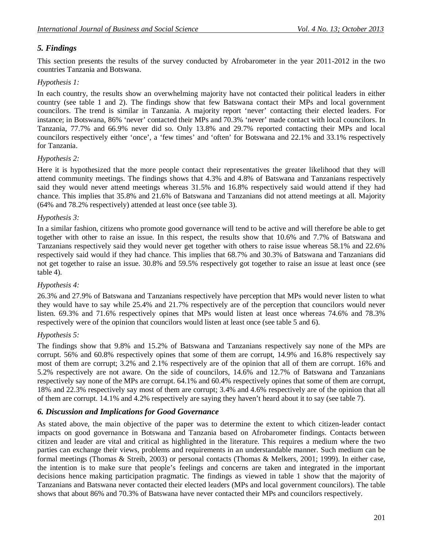# *5. Findings*

This section presents the results of the survey conducted by Afrobarometer in the year 2011-2012 in the two countries Tanzania and Botswana.

# *Hypothesis 1:*

In each country, the results show an overwhelming majority have not contacted their political leaders in either country (see table 1 and 2). The findings show that few Batswana contact their MPs and local government councilors. The trend is similar in Tanzania. A majority report 'never' contacting their elected leaders. For instance; in Botswana, 86% 'never' contacted their MPs and 70.3% 'never' made contact with local councilors. In Tanzania, 77.7% and 66.9% never did so. Only 13.8% and 29.7% reported contacting their MPs and local councilors respectively either 'once', a 'few times' and 'often' for Botswana and 22.1% and 33.1% respectively for Tanzania.

# *Hypothesis 2:*

Here it is hypothesized that the more people contact their representatives the greater likelihood that they will attend community meetings. The findings shows that 4.3% and 4.8% of Batswana and Tanzanians respectively said they would never attend meetings whereas 31.5% and 16.8% respectively said would attend if they had chance. This implies that 35.8% and 21.6% of Batswana and Tanzanians did not attend meetings at all. Majority (64% and 78.2% respectively) attended at least once (see table 3).

#### *Hypothesis 3:*

In a similar fashion, citizens who promote good governance will tend to be active and will therefore be able to get together with other to raise an issue. In this respect, the results show that 10.6% and 7.7% of Batswana and Tanzanians respectively said they would never get together with others to raise issue whereas 58.1% and 22.6% respectively said would if they had chance. This implies that 68.7% and 30.3% of Batswana and Tanzanians did not get together to raise an issue. 30.8% and 59.5% respectively got together to raise an issue at least once (see table 4).

# *Hypothesis 4:*

26.3% and 27.9% of Batswana and Tanzanians respectively have perception that MPs would never listen to what they would have to say while 25.4% and 21.7% respectively are of the perception that councilors would never listen. 69.3% and 71.6% respectively opines that MPs would listen at least once whereas 74.6% and 78.3% respectively were of the opinion that councilors would listen at least once (see table 5 and 6).

# *Hypothesis 5:*

The findings show that 9.8% and 15.2% of Batswana and Tanzanians respectively say none of the MPs are corrupt. 56% and 60.8% respectively opines that some of them are corrupt, 14.9% and 16.8% respectively say most of them are corrupt; 3.2% and 2.1% respectively are of the opinion that all of them are corrupt. 16% and 5.2% respectively are not aware. On the side of councilors, 14.6% and 12.7% of Batswana and Tanzanians respectively say none of the MPs are corrupt. 64.1% and 60.4% respectively opines that some of them are corrupt, 18% and 22.3% respectively say most of them are corrupt; 3.4% and 4.6% respectively are of the opinion that all of them are corrupt. 14.1% and 4.2% respectively are saying they haven't heard about it to say (see table 7).

# *6. Discussion and Implications for Good Governance*

As stated above, the main objective of the paper was to determine the extent to which citizen-leader contact impacts on good governance in Botswana and Tanzania based on Afrobarometer findings. Contacts between citizen and leader are vital and critical as highlighted in the literature. This requires a medium where the two parties can exchange their views, problems and requirements in an understandable manner. Such medium can be formal meetings (Thomas & Streib, 2003) or personal contacts (Thomas & Melkers, 2001; 1999). In either case, the intention is to make sure that people's feelings and concerns are taken and integrated in the important decisions hence making participation pragmatic. The findings as viewed in table 1 show that the majority of Tanzanians and Batswana never contacted their elected leaders (MPs and local government councilors). The table shows that about 86% and 70.3% of Batswana have never contacted their MPs and councilors respectively.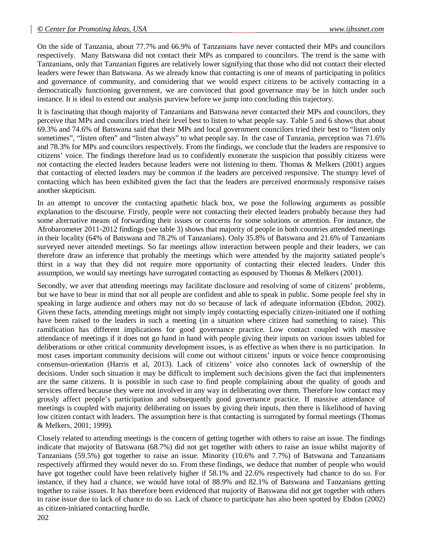On the side of Tanzania, about 77.7% and 66.9% of Tanzanians have never contacted their MPs and councilors respectively. Many Batswana did not contact their MPs as compared to councilors. The trend is the same with Tanzanians, only that Tanzanian figures are relatively lower signifying that those who did not contact their elected leaders were fewer than Batswana. As we already know that contacting is one of means of participating in politics and governance of community, and considering that we would expect citizens to be actively contacting in a democratically functioning government, we are convinced that good governance may be in hitch under such instance. It is ideal to extend our analysis purview before we jump into concluding this trajectory.

It is fascinating that though majority of Tanzanians and Batswana never contacted their MPs and councilors, they perceive that MPs and councilors tried their level best to listen to what people say. Table 5 and 6 shows that about 69.3% and 74.6% of Batswana said that their MPs and local government councilors tried their best to "listen only sometimes", "listen often" and "listen always" to what people say. In the case of Tanzania, perception was 71.6% and 78.3% for MPs and councilors respectively. From the findings, we conclude that the leaders are responsive to citizens' voice. The findings therefore lead us to confidently exonerate the suspicion that possibly citizens were not contacting the elected leaders because leaders were not listening to them. Thomas & Melkers (2001) argues that contacting of elected leaders may be common if the leaders are perceived responsive. The stumpy level of contacting which has been exhibited given the fact that the leaders are perceived enormously responsive raises another skepticism.

In an attempt to uncover the contacting apathetic black box, we pose the following arguments as possible explanation to the discourse. Firstly, people were not contacting their elected leaders probably because they had some alternative means of forwarding their issues or concerns for some solutions or attention. For instance, the Afrobarometer 2011-2012 findings (see table 3) shows that majority of people in both countries attended meetings in their locality (64% of Batswana and 78.2% of Tanzanians). Only 35.8% of Batswana and 21.6% of Tanzanians surveyed never attended meetings. So far meetings allow interaction between people and their leaders, we can therefore draw an inference that probably the meetings which were attended by the majority satiated people's thirst in a way that they did not require more opportunity of contacting their elected leaders. Under this assumption, we would say meetings have surrogated contacting as espoused by Thomas & Melkers (2001).

Secondly, we aver that attending meetings may facilitate disclosure and resolving of some of citizens' problems, but we have to bear in mind that not all people are confident and able to speak in public. Some people feel shy in speaking in large audience and others may not do so because of lack of adequate information (Ebdon, 2002). Given these facts, attending meetings might not simply imply contacting especially citizen-initiated one if nothing have been raised to the leaders in such a meeting (in a situation where citizen had something to raise). This ramification has different implications for good governance practice. Low contact coupled with massive attendance of meetings if it does not go hand in hand with people giving their inputs on various issues tabled for deliberations or other critical community development issues, is as effective as when there is no participation. In most cases important community decisions will come out without citizens' inputs or voice hence compromising consensus-orientation (Harris et al, 2013). Lack of citizens' voice also connotes lack of ownership of the decisions. Under such situation it may be difficult to implement such decisions given the fact that implementers are the same citizens. It is possible in such case to find people complaining about the quality of goods and services offered because they were not involved in any way in deliberating over them. Therefore low contact may grossly affect people's participation and subsequently good governance practice. If massive attendance of meetings is coupled with majority deliberating on issues by giving their inputs, then there is likelihood of having low citizen contact with leaders. The assumption here is that contacting is surrogated by formal meetings (Thomas & Melkers, 2001; 1999).

Closely related to attending meetings is the concern of getting together with others to raise an issue. The findings indicate that majority of Batswana (68.7%) did not get together with others to raise an issue whilst majority of Tanzanians (59.5%) got together to raise an issue. Minority (10.6% and 7.7%) of Batswana and Tanzanians respectively affirmed they would never do so. From these findings, we deduce that number of people who would have got together could have been relatively higher if 58.1% and 22.6% respectively had chance to do so. For instance, if they had a chance, we would have total of 88.9% and 82.1% of Batswana and Tanzanians getting together to raise issues. It has therefore been evidenced that majority of Batswana did not get together with others to raise issue due to lack of chance to do so. Lack of chance to participate has also been spotted by Ebdon (2002) as citizen-initiated contacting hurdle.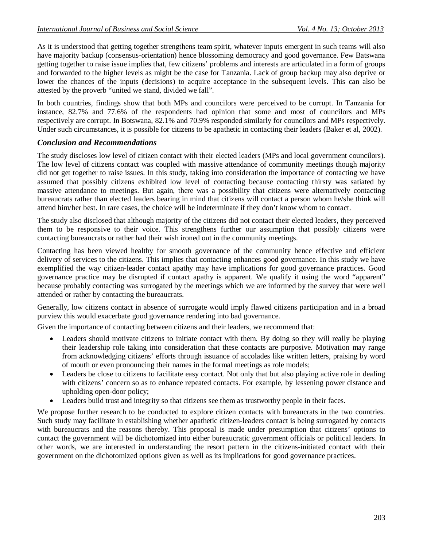As it is understood that getting together strengthens team spirit, whatever inputs emergent in such teams will also have majority backup (consensus-orientation) hence blossoming democracy and good governance. Few Batswana getting together to raise issue implies that, few citizens' problems and interests are articulated in a form of groups and forwarded to the higher levels as might be the case for Tanzania. Lack of group backup may also deprive or lower the chances of the inputs (decisions) to acquire acceptance in the subsequent levels. This can also be attested by the proverb "united we stand, divided we fall".

In both countries, findings show that both MPs and councilors were perceived to be corrupt. In Tanzania for instance, 82.7% and 77.6% of the respondents had opinion that some and most of councilors and MPs respectively are corrupt. In Botswana, 82.1% and 70.9% responded similarly for councilors and MPs respectively. Under such circumstances, it is possible for citizens to be apathetic in contacting their leaders (Baker et al, 2002).

#### *Conclusion and Recommendations*

The study discloses low level of citizen contact with their elected leaders (MPs and local government councilors). The low level of citizens contact was coupled with massive attendance of community meetings though majority did not get together to raise issues. In this study, taking into consideration the importance of contacting we have assumed that possibly citizens exhibited low level of contacting because contacting thirsty was satiated by massive attendance to meetings. But again, there was a possibility that citizens were alternatively contacting bureaucrats rather than elected leaders bearing in mind that citizens will contact a person whom he/she think will attend him/her best. In rare cases, the choice will be indeterminate if they don't know whom to contact.

The study also disclosed that although majority of the citizens did not contact their elected leaders, they perceived them to be responsive to their voice. This strengthens further our assumption that possibly citizens were contacting bureaucrats or rather had their wish ironed out in the community meetings.

Contacting has been viewed healthy for smooth governance of the community hence effective and efficient delivery of services to the citizens. This implies that contacting enhances good governance. In this study we have exemplified the way citizen-leader contact apathy may have implications for good governance practices. Good governance practice may be disrupted if contact apathy is apparent. We qualify it using the word "apparent" because probably contacting was surrogated by the meetings which we are informed by the survey that were well attended or rather by contacting the bureaucrats.

Generally, low citizens contact in absence of surrogate would imply flawed citizens participation and in a broad purview this would exacerbate good governance rendering into bad governance.

Given the importance of contacting between citizens and their leaders, we recommend that:

- Leaders should motivate citizens to initiate contact with them. By doing so they will really be playing their leadership role taking into consideration that these contacts are purposive. Motivation may range from acknowledging citizens' efforts through issuance of accolades like written letters, praising by word of mouth or even pronouncing their names in the formal meetings as role models;
- Leaders be close to citizens to facilitate easy contact. Not only that but also playing active role in dealing with citizens' concern so as to enhance repeated contacts. For example, by lessening power distance and upholding open-door policy;
- Leaders build trust and integrity so that citizens see them as trustworthy people in their faces.

We propose further research to be conducted to explore citizen contacts with bureaucrats in the two countries. Such study may facilitate in establishing whether apathetic citizen-leaders contact is being surrogated by contacts with bureaucrats and the reasons thereby. This proposal is made under presumption that citizens' options to contact the government will be dichotomized into either bureaucratic government officials or political leaders. In other words, we are interested in understanding the resort pattern in the citizens-initiated contact with their government on the dichotomized options given as well as its implications for good governance practices.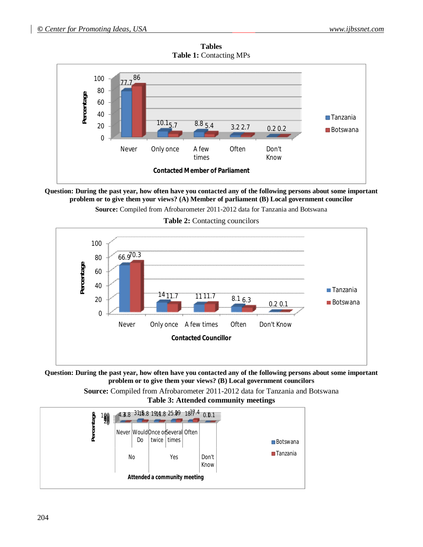

**Tables Table 1:** Contacting MPs

**Question: During the past year, how often have you contacted any of the following persons about some important problem or to give them your views? (A) Member of parliament (B) Local government councilor**

**Source:** Compiled from Afrobarometer 2011-2012 data for Tanzania and Botswana



**Table 2:** Contacting councilors

**Question: During the past year, how often have you contacted any of the following persons about some important problem or to give them your views? (B) Local government councilors**

> **Source:** Compiled from Afrobarometer 2011-2012 data for Tanzania and Botswana **Table 3: Attended community meetings**

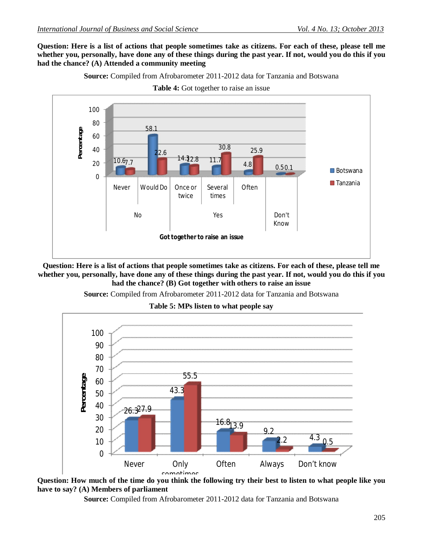**Question: Here is a list of actions that people sometimes take as citizens. For each of these, please tell me whether you, personally, have done any of these things during the past year. If not, would you do this if you had the chance? (A) Attended a community meeting**

**Source:** Compiled from Afrobarometer 2011-2012 data for Tanzania and Botswana



**Table 4:** Got together to raise an issue

**Question: Here is a list of actions that people sometimes take as citizens. For each of these, please tell me whether you, personally, have done any of these things during the past year. If not, would you do this if you had the chance? (B) Got together with others to raise an issue**

**Source:** Compiled from Afrobarometer 2011-2012 data for Tanzania and Botswana

**Table 5: MPs listen to what people say**



**Question: How much of the time do you think the following try their best to listen to what people like you have to say? (A) Members of parliament** 

**Source:** Compiled from Afrobarometer 2011-2012 data for Tanzania and Botswana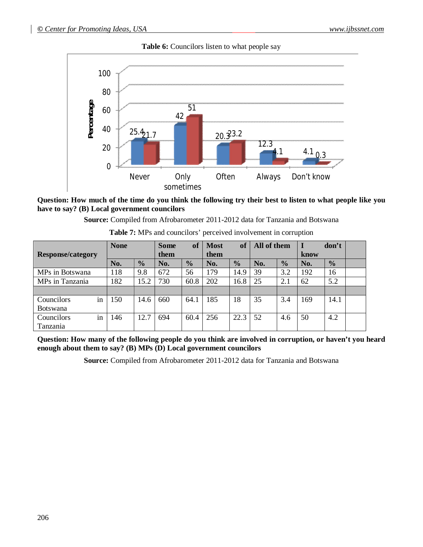



#### **Question: How much of the time do you think the following try their best to listen to what people like you have to say? (B) Local government councilors**

**Source:** Compiled from Afrobarometer 2011-2012 data for Tanzania and Botswana

|                          | <b>None</b> |               | <b>Some</b> | of            | <b>Most</b> | of            | All of them |               |      | don't         |  |
|--------------------------|-------------|---------------|-------------|---------------|-------------|---------------|-------------|---------------|------|---------------|--|
| <b>Response/category</b> |             |               | them        |               | them        |               |             |               | know |               |  |
|                          | No.         | $\frac{0}{0}$ | No.         | $\frac{0}{0}$ | No.         | $\frac{0}{0}$ | No.         | $\frac{0}{0}$ | No.  | $\frac{0}{0}$ |  |
| MPs in Botswana          | 118         | 9.8           | 672         | 56            | 179         | 14.9          | 39          | 3.2           | 192  | 16            |  |
| MPs in Tanzania          | 182         | 15.2          | 730         | 60.8          | 202         | 16.8          | 25          | 2.1           | 62   | 5.2           |  |
|                          |             |               |             |               |             |               |             |               |      |               |  |
| Councilors<br>1n         | 150         | 14.6          | 660         | 64.1          | 185         | 18            | 35          | 3.4           | 169  | 14.1          |  |
| <b>Botswana</b>          |             |               |             |               |             |               |             |               |      |               |  |
| Councilors<br>1n         | 146         | 12.7          | 694         | 60.4          | 256         | 22.3          | 52          | 4.6           | 50   | 4.2           |  |
| Tanzania                 |             |               |             |               |             |               |             |               |      |               |  |

| Table 7: MPs and councilors' perceived involvement in corruption |  |  |  |
|------------------------------------------------------------------|--|--|--|
|------------------------------------------------------------------|--|--|--|

**Question: How many of the following people do you think are involved in corruption, or haven't you heard enough about them to say? (B) MPs (D) Local government councilors**

**Source:** Compiled from Afrobarometer 2011-2012 data for Tanzania and Botswana